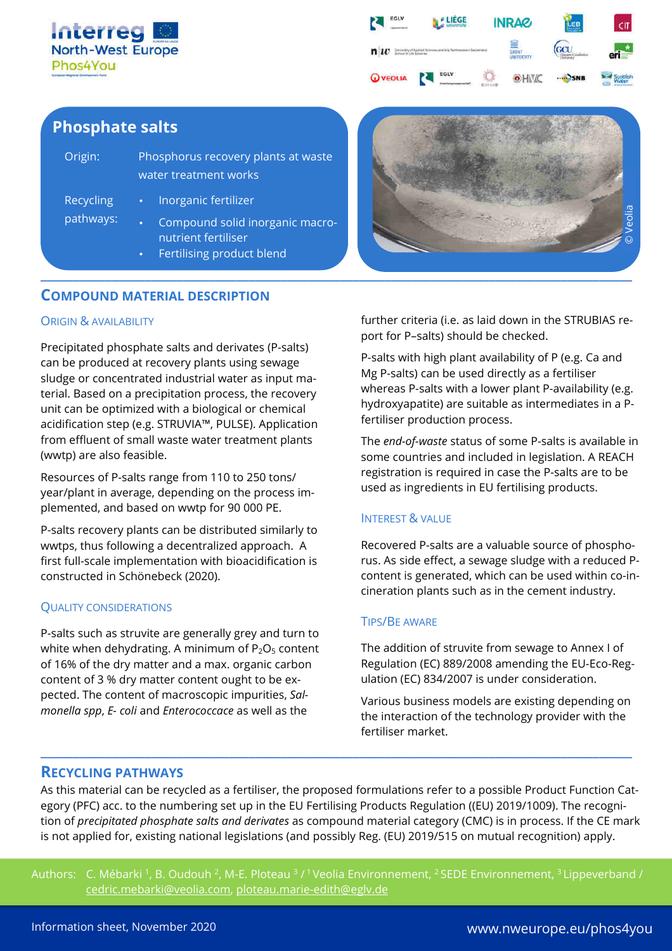



# **Phosphate salts**

| Origin:                       | Phosphorus recovery plants at waste<br>water treatment works |                                                                                     |
|-------------------------------|--------------------------------------------------------------|-------------------------------------------------------------------------------------|
| <b>Recycling</b><br>pathways: |                                                              | Inorganic fertilizer                                                                |
|                               |                                                              | Compound solid inorganic macro-<br>nutrient fertiliser<br>Fertilising product blend |

## **COMPOUND MATERIAL DESCRIPTION**

#### ORIGIN & AVAILABILITY

Precipitated phosphate salts and derivates (P-salts) can be produced at recovery plants using sewage sludge or concentrated industrial water as input material. Based on a precipitation process, the recovery unit can be optimized with a biological or chemical acidification step (e.g. STRUVIA™, PULSE). Application from effluent of small waste water treatment plants (wwtp) are also feasible.

Resources of P-salts range from 110 to 250 tons/ year/plant in average, depending on the process implemented, and based on wwtp for 90 000 PE.

P-salts recovery plants can be distributed similarly to wwtps, thus following a decentralized approach. A first full-scale implementation with bioacidification is constructed in Schönebeck (2020).

#### QUALITY CONSIDERATIONS

P-salts such as struvite are generally grey and turn to white when dehydrating. A minimum of  $P_2O_5$  content of 16% of the dry matter and a max. organic carbon content of 3 % dry matter content ought to be expected. The content of macroscopic impurities, *Salmonella spp*, *E- coli* and *Enterococcace* as well as the



further criteria (i.e. as laid down in the STRUBIAS report for P–salts) should be checked.

P-salts with high plant availability of P (e.g. Ca and Mg P-salts) can be used directly as a fertiliser whereas P-salts with a lower plant P-availability (e.g. hydroxyapatite) are suitable as intermediates in a Pfertiliser production process.

The *end-of-waste* status of some P-salts is available in some countries and included in legislation. A REACH registration is required in case the P-salts are to be used as ingredients in EU fertilising products.

### INTEREST & VALUE

Recovered P-salts are a valuable source of phosphorus. As side effect, a sewage sludge with a reduced Pcontent is generated, which can be used within co-incineration plants such as in the cement industry.

#### TIPS/BE AWARE

The addition of struvite from sewage to Annex I of Regulation (EC) 889/2008 amending the EU-Eco-Regulation (EC) 834/2007 is under consideration.

Various business models are existing depending on the interaction of the technology provider with the fertiliser market.

## **RECYCLING PATHWAYS**

As this material can be recycled as a fertiliser, the proposed formulations refer to a possible Product Function Category (PFC) acc. to the numbering set up in the EU Fertilising Products Regulation ((EU) 2019/1009). The recognition of *precipitated phosphate salts and derivates* as compound material category (CMC) is in process. If the CE mark is not applied for, existing national legislations (and possibly Reg. (EU) 2019/515 on mutual recognition) apply.

**\_\_\_\_\_\_\_\_\_\_\_\_\_\_\_\_\_\_\_\_\_\_\_\_\_\_\_\_\_\_\_\_\_\_\_\_\_\_\_\_\_\_\_\_\_\_\_\_\_\_\_\_\_\_\_\_\_\_\_\_\_\_\_\_\_\_\_\_\_\_\_\_\_\_\_\_\_\_\_\_\_\_\_\_\_\_\_\_\_\_\_**

Authors: C. Mébarki <sup>1</sup>, B. Oudouh <sup>2</sup>, M-E. Ploteau <sup>3</sup> / <sup>1</sup> Veolia Environnement, <sup>2</sup> SEDE Environnement, <sup>3</sup> Lippeverband / cedric.mebarki@veolia.com, ploteau.marie-edith@eglv.de